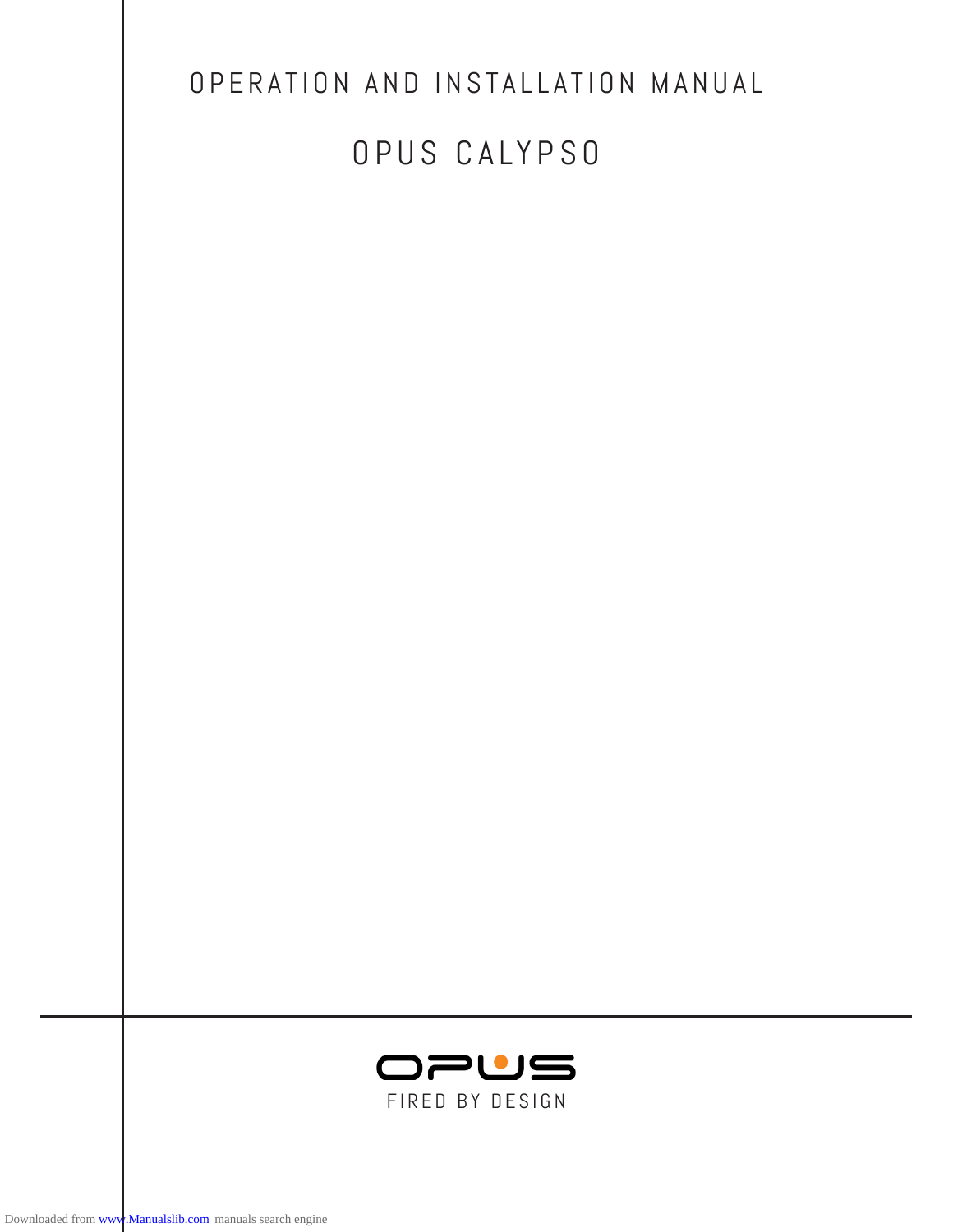| OPERATION AND INSTALLATION MANUAL |
|-----------------------------------|
| OPUS CALYPSO                      |
|                                   |
|                                   |
|                                   |
|                                   |
|                                   |
|                                   |
|                                   |
|                                   |
|                                   |
|                                   |
|                                   |
|                                   |
| OPUS                              |
| FIRED BY DESIGN                   |
|                                   |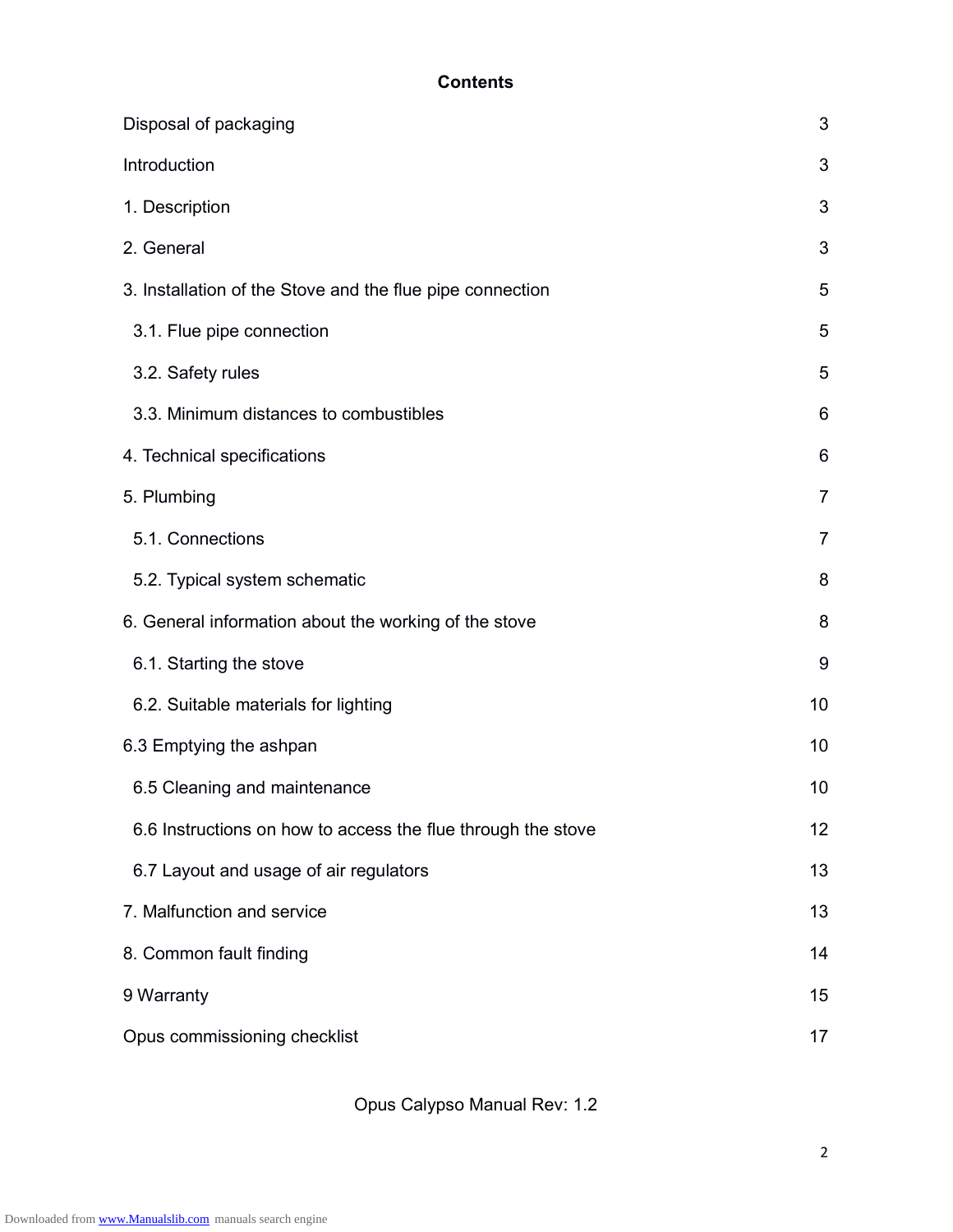## **Contents**

| Disposal of packaging                                        |                |  |
|--------------------------------------------------------------|----------------|--|
| Introduction                                                 | 3              |  |
| 1. Description                                               | 3              |  |
| 2. General                                                   | 3              |  |
| 3. Installation of the Stove and the flue pipe connection    | 5              |  |
| 3.1. Flue pipe connection                                    | 5              |  |
| 3.2. Safety rules                                            | 5              |  |
| 3.3. Minimum distances to combustibles                       | 6              |  |
| 4. Technical specifications                                  | 6              |  |
| 5. Plumbing                                                  | $\overline{7}$ |  |
| 5.1. Connections                                             | $\overline{7}$ |  |
| 5.2. Typical system schematic                                | 8              |  |
| 6. General information about the working of the stove        | 8              |  |
| 6.1. Starting the stove                                      | 9              |  |
| 6.2. Suitable materials for lighting                         | 10             |  |
| 6.3 Emptying the ashpan                                      | 10             |  |
| 6.5 Cleaning and maintenance                                 | 10             |  |
| 6.6 Instructions on how to access the flue through the stove | 12             |  |
| 6.7 Layout and usage of air regulators                       | 13             |  |
| 7. Malfunction and service                                   | 13             |  |
| 8. Common fault finding                                      |                |  |
| 9 Warranty                                                   |                |  |
| Opus commissioning checklist                                 |                |  |

Opus Calypso Manual Rev: 1.2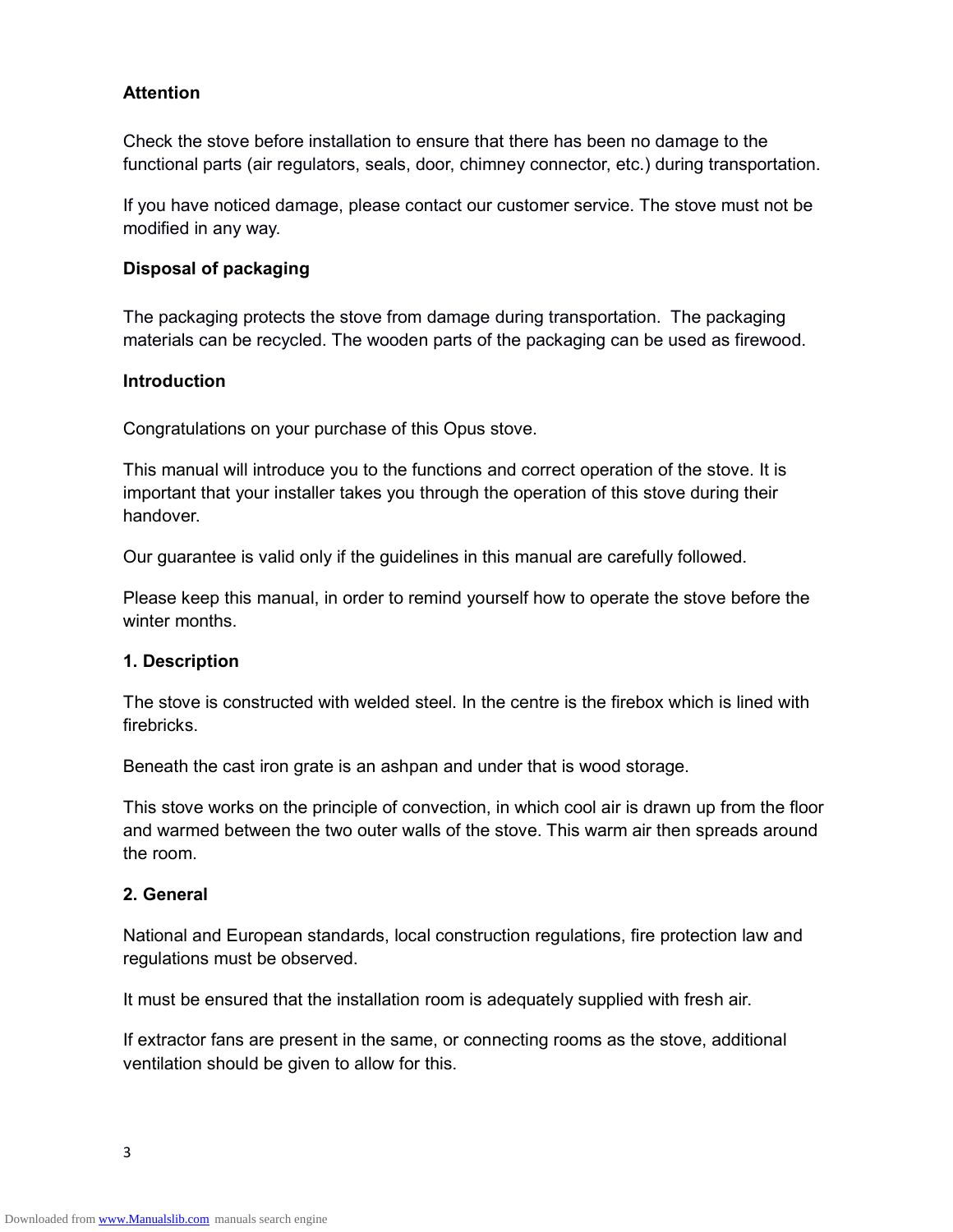### **Attention**

Check the stove before installation to ensure that there has been no damage to the functional parts (air regulators, seals, door, chimney connector, etc.) during transportation.

If you have noticed damage, please contact our customer service. The stove must not be modified in any way.

#### **Disposal of packaging**

The packaging protects the stove from damage during transportation. The packaging materials can be recycled. The wooden parts of the packaging can be used as firewood.

#### **Introduction**

Congratulations on your purchase of this Opus stove.

This manual will introduce you to the functions and correct operation of the stove. It is important that your installer takes you through the operation of this stove during their handover.

Our guarantee is valid only if the guidelines in this manual are carefully followed.

Please keep this manual, in order to remind yourself how to operate the stove before the winter months

#### **1. Description**

The stove is constructed with welded steel. In the centre is the firebox which is lined with firebricks.

Beneath the cast iron grate is an ashpan and under that is wood storage.

This stove works on the principle of convection, in which cool air is drawn up from the floor and warmed between the two outer walls of the stove. This warm air then spreads around the room.

#### **2. General**

National and European standards, local construction regulations, fire protection law and regulations must be observed.

It must be ensured that the installation room is adequately supplied with fresh air.

If extractor fans are present in the same, or connecting rooms as the stove, additional ventilation should be given to allow for this.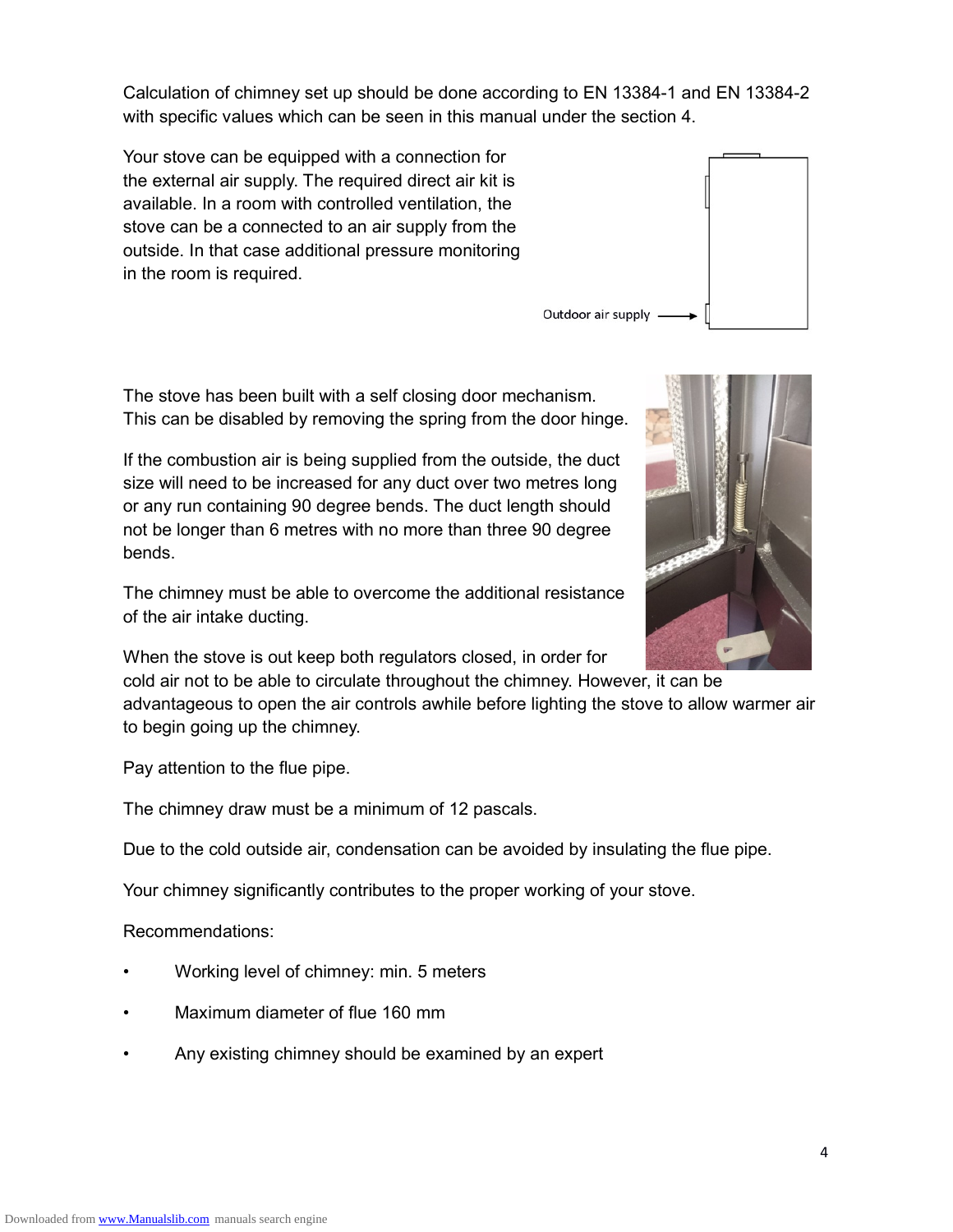Calculation of chimney set up should be done according to EN 13384-1 and EN 13384-2 with specific values which can be seen in this manual under the section 4.

Outdoor air supply

Your stove can be equipped with a connection for the external air supply. The required direct air kit is available. In a room with controlled ventilation, the stove can be a connected to an air supply from the outside. In that case additional pressure monitoring in the room is required.

The stove has been built with a self closing door mechanism. This can be disabled by removing the spring from the door hinge.

If the combustion air is being supplied from the outside, the duct size will need to be increased for any duct over two metres long or any run containing 90 degree bends. The duct length should not be longer than 6 metres with no more than three 90 degree bends.

The chimney must be able to overcome the additional resistance of the air intake ducting.

When the stove is out keep both regulators closed, in order for cold air not to be able to circulate throughout the chimney. However, it can be

advantageous to open the air controls awhile before lighting the stove to allow warmer air to begin going up the chimney.

Pay attention to the flue pipe.

The chimney draw must be a minimum of 12 pascals.

Due to the cold outside air, condensation can be avoided by insulating the flue pipe.

Your chimney significantly contributes to the proper working of your stove.

Recommendations:

- Working level of chimney: min. 5 meters
- Maximum diameter of flue 160 mm
- Any existing chimney should be examined by an expert

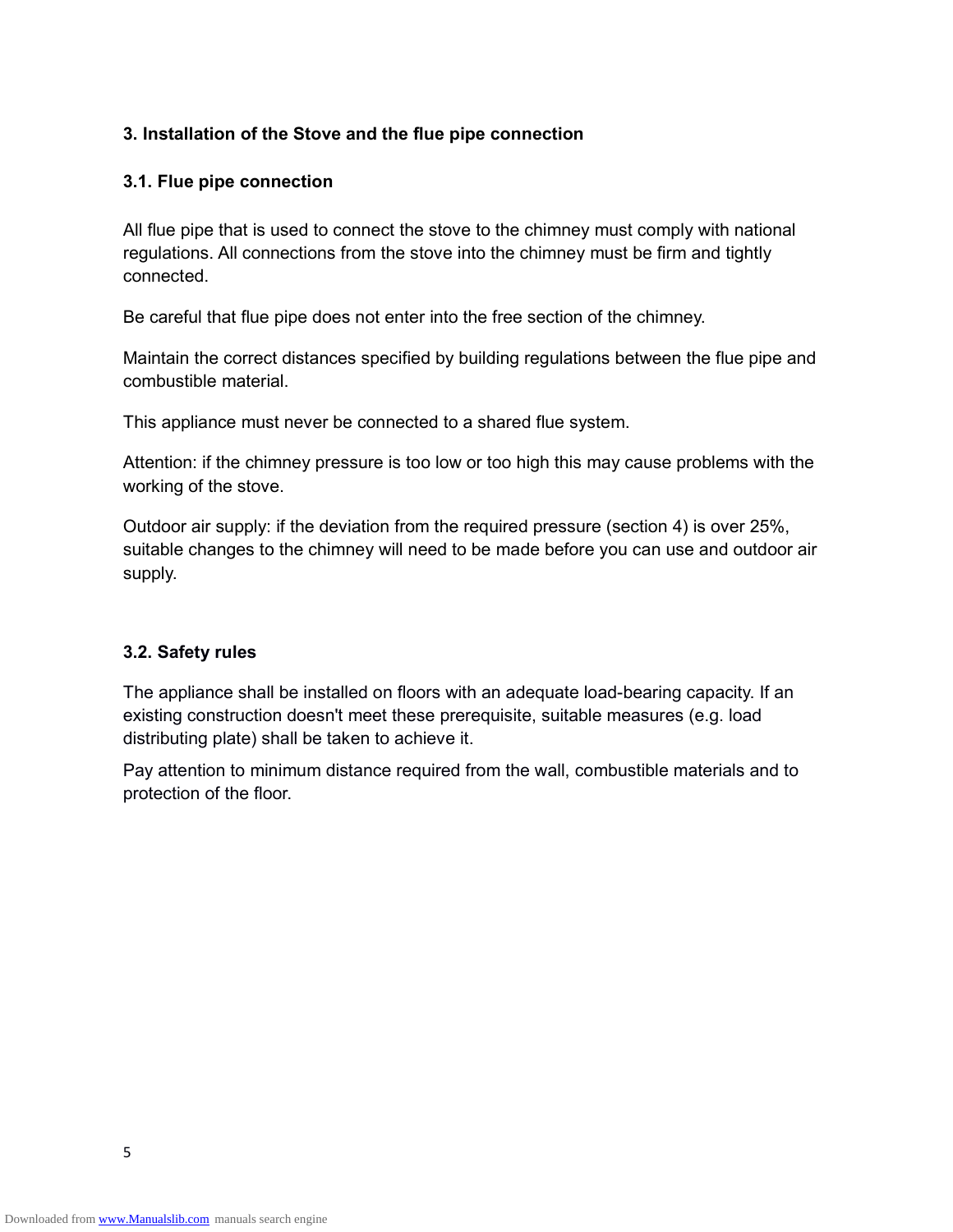### **3. Installation of the Stove and the flue pipe connection**

#### **3.1. Flue pipe connection**

All flue pipe that is used to connect the stove to the chimney must comply with national regulations. All connections from the stove into the chimney must be firm and tightly connected.

Be careful that flue pipe does not enter into the free section of the chimney.

Maintain the correct distances specified by building regulations between the flue pipe and combustible material.

This appliance must never be connected to a shared flue system.

Attention: if the chimney pressure is too low or too high this may cause problems with the working of the stove.

Outdoor air supply: if the deviation from the required pressure (section 4) is over 25%, suitable changes to the chimney will need to be made before you can use and outdoor air supply.

#### **3.2. Safety rules**

The appliance shall be installed on floors with an adequate load-bearing capacity. If an existing construction doesn't meet these prerequisite, suitable measures (e.g. load distributing plate) shall be taken to achieve it.

Pay attention to minimum distance required from the wall, combustible materials and to protection of the floor.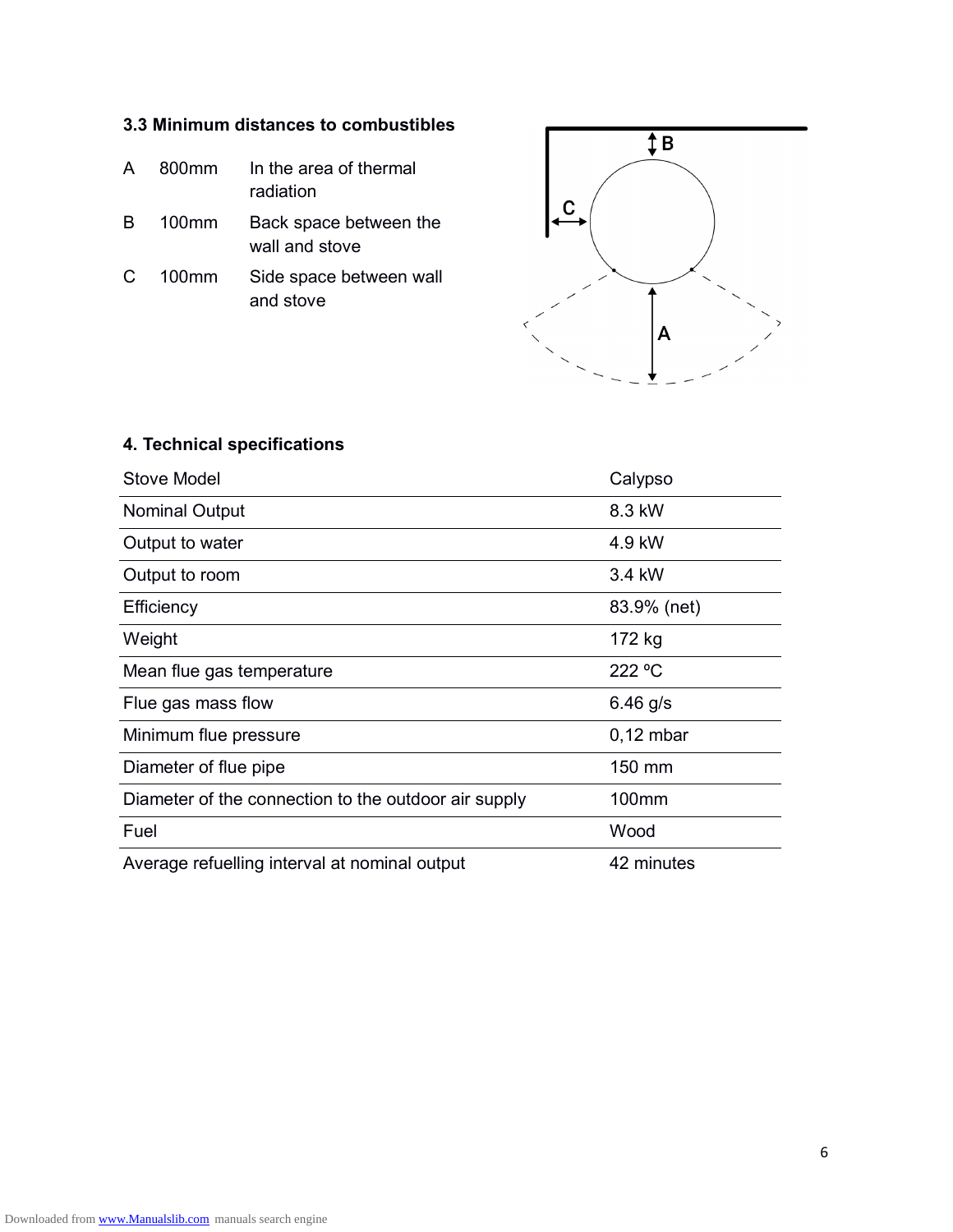## **3.3 Minimum distances to combustibles**

- A 800mm In the area of thermal radiation
- B 100mm Back space between the wall and stove
- C 100mm Side space between wall and stove



# **4. Technical specifications**

| Stove Model                                          | Calypso     |
|------------------------------------------------------|-------------|
| <b>Nominal Output</b>                                | 8.3 kW      |
| Output to water                                      | 4.9 kW      |
| Output to room                                       | 3.4 kW      |
| Efficiency                                           | 83.9% (net) |
| Weight                                               | 172 kg      |
| Mean flue gas temperature                            | 222 °C      |
| Flue gas mass flow                                   | 6.46 $g/s$  |
| Minimum flue pressure                                | $0,12$ mbar |
| Diameter of flue pipe                                | 150 mm      |
| Diameter of the connection to the outdoor air supply | 100mm       |
| Fuel                                                 | Wood        |
| Average refuelling interval at nominal output        | 42 minutes  |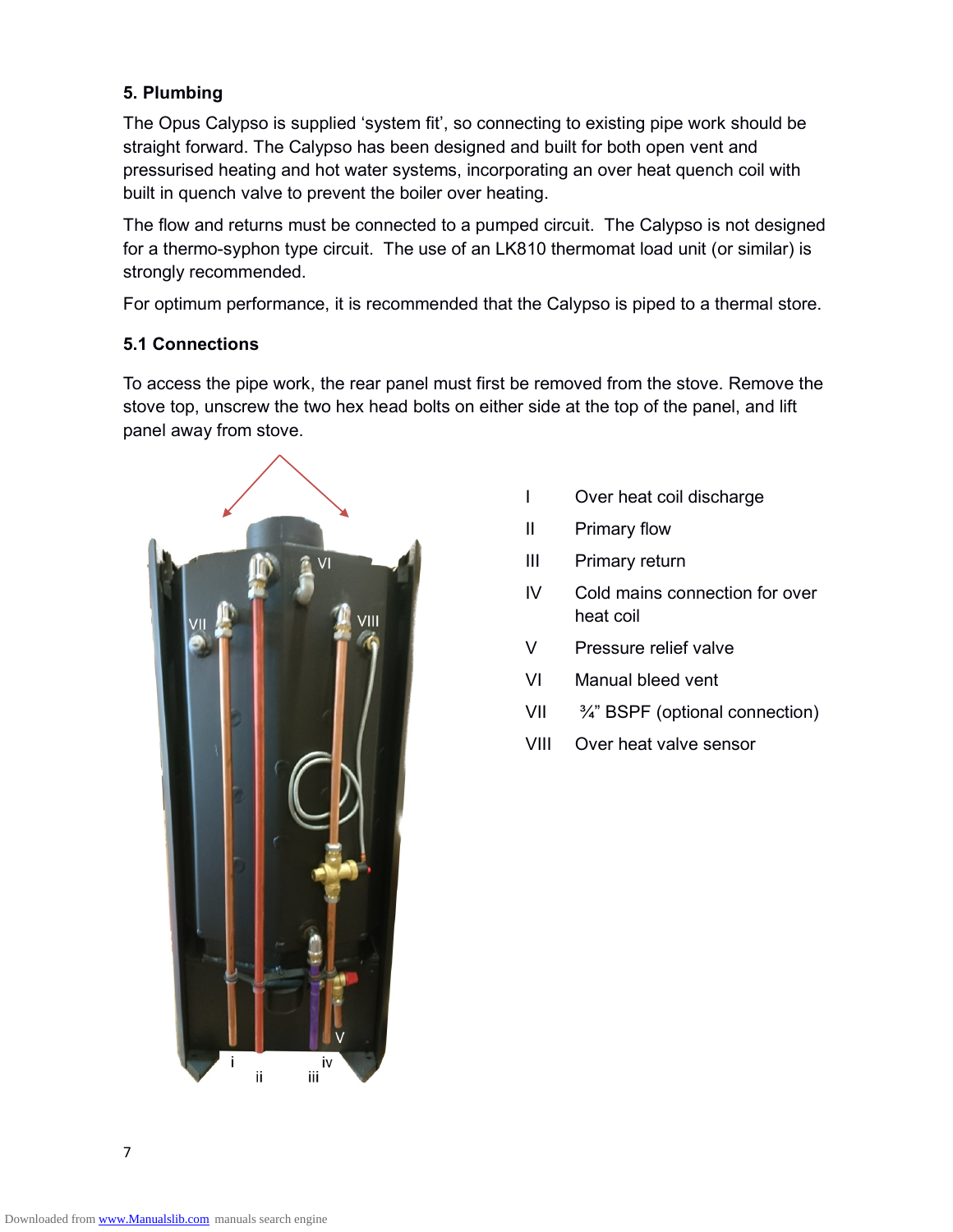## **5. Plumbing**

The Opus Calypso is supplied 'system fit', so connecting to existing pipe work should be straight forward. The Calypso has been designed and built for both open vent and pressurised heating and hot water systems, incorporating an over heat quench coil with built in quench valve to prevent the boiler over heating.

The flow and returns must be connected to a pumped circuit. The Calypso is not designed for a thermo-syphon type circuit. The use of an LK810 thermomat load unit (or similar) is strongly recommended.

For optimum performance, it is recommended that the Calypso is piped to a thermal store.

## **5.1 Connections**

To access the pipe work, the rear panel must first be removed from the stove. Remove the stove top, unscrew the two hex head bolts on either side at the top of the panel, and lift panel away from stove.



- I Over heat coil discharge
- II Primary flow
- III Primary return
- IV Cold mains connection for over heat coil
- V Pressure relief valve
- VI Manual bleed vent
- VII ¾" BSPF (optional connection)
- VIII Over heat valve sensor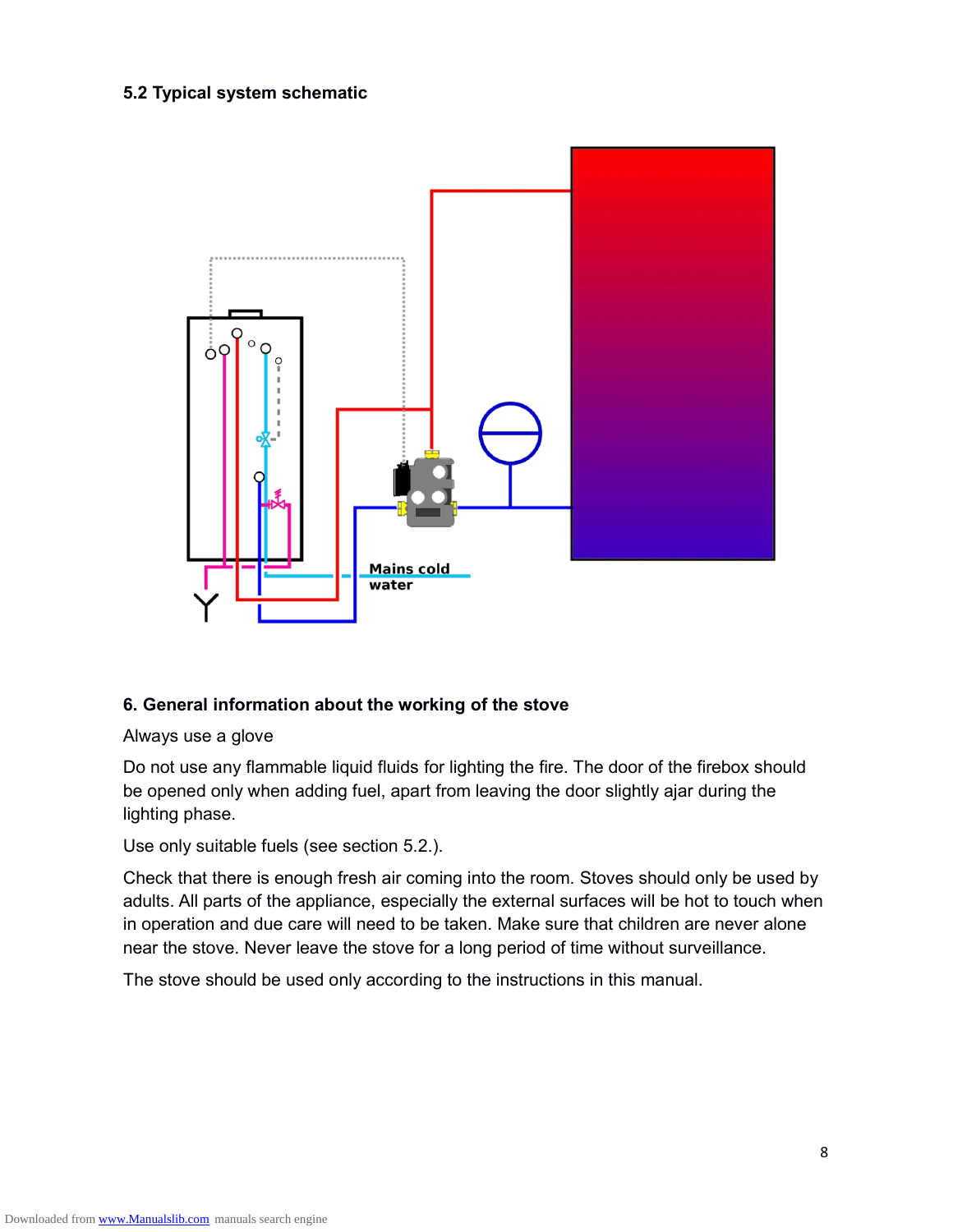## **5.2 Typical system schematic**



#### **6. General information about the working of the stove**

Always use a glove

Do not use any flammable liquid fluids for lighting the fire. The door of the firebox should be opened only when adding fuel, apart from leaving the door slightly ajar during the lighting phase.

Use only suitable fuels (see section 5.2.).

Check that there is enough fresh air coming into the room. Stoves should only be used by adults. All parts of the appliance, especially the external surfaces will be hot to touch when in operation and due care will need to be taken. Make sure that children are never alone near the stove. Never leave the stove for a long period of time without surveillance.

The stove should be used only according to the instructions in this manual.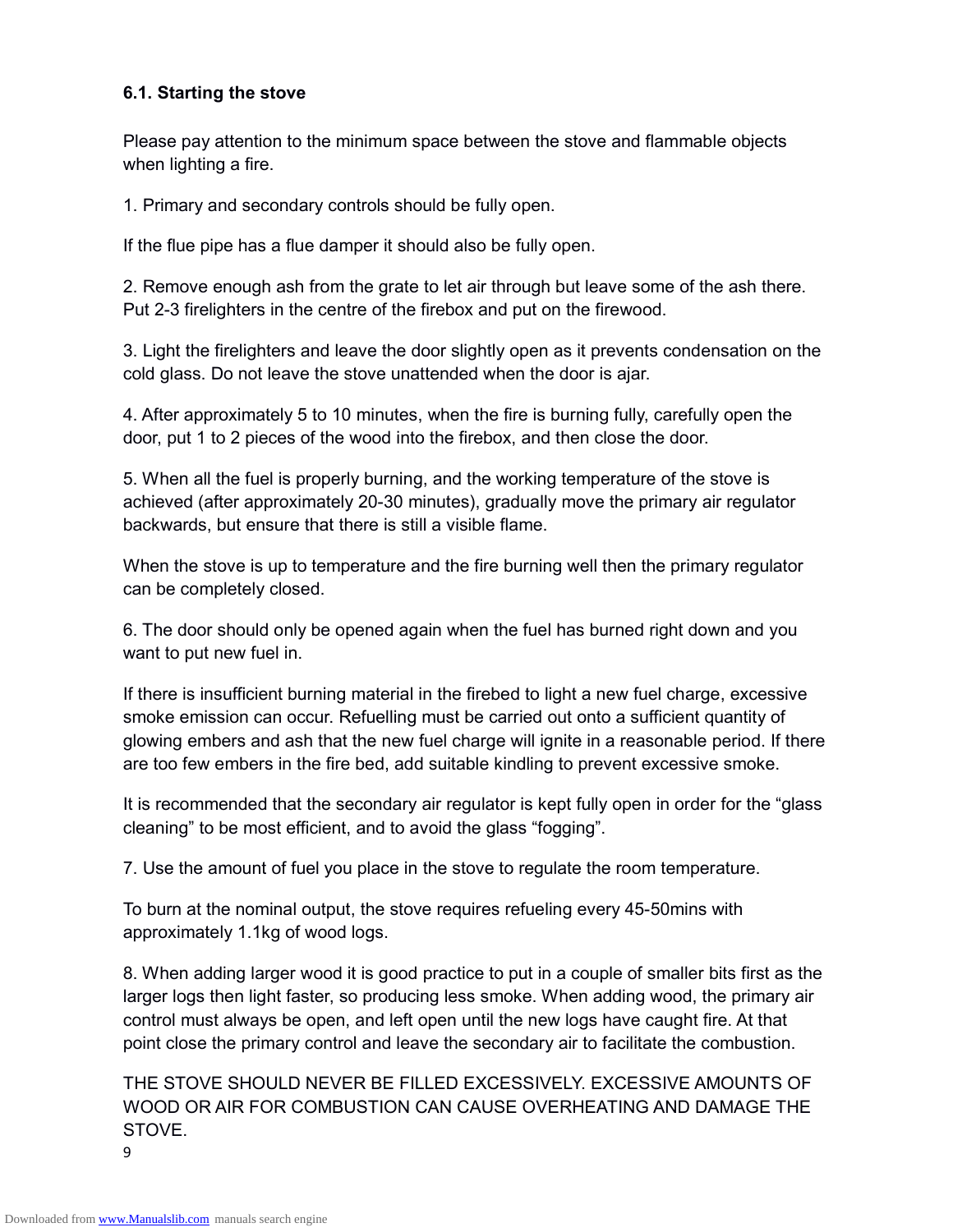### **6.1. Starting the stove**

Please pay attention to the minimum space between the stove and flammable objects when lighting a fire.

1. Primary and secondary controls should be fully open.

If the flue pipe has a flue damper it should also be fully open.

2. Remove enough ash from the grate to let air through but leave some of the ash there. Put 2-3 firelighters in the centre of the firebox and put on the firewood.

3. Light the firelighters and leave the door slightly open as it prevents condensation on the cold glass. Do not leave the stove unattended when the door is ajar.

4. After approximately 5 to 10 minutes, when the fire is burning fully, carefully open the door, put 1 to 2 pieces of the wood into the firebox, and then close the door.

5. When all the fuel is properly burning, and the working temperature of the stove is achieved (after approximately 20-30 minutes), gradually move the primary air regulator backwards, but ensure that there is still a visible flame.

When the stove is up to temperature and the fire burning well then the primary regulator can be completely closed.

6. The door should only be opened again when the fuel has burned right down and you want to put new fuel in.

If there is insufficient burning material in the firebed to light a new fuel charge, excessive smoke emission can occur. Refuelling must be carried out onto a sufficient quantity of glowing embers and ash that the new fuel charge will ignite in a reasonable period. If there are too few embers in the fire bed, add suitable kindling to prevent excessive smoke.

It is recommended that the secondary air regulator is kept fully open in order for the "glass cleaning" to be most efficient, and to avoid the glass "fogging".

7. Use the amount of fuel you place in the stove to regulate the room temperature.

To burn at the nominal output, the stove requires refueling every 45-50mins with approximately 1.1kg of wood logs.

8. When adding larger wood it is good practice to put in a couple of smaller bits first as the larger logs then light faster, so producing less smoke. When adding wood, the primary air control must always be open, and left open until the new logs have caught fire. At that point close the primary control and leave the secondary air to facilitate the combustion.

THE STOVE SHOULD NEVER BE FILLED EXCESSIVELY. EXCESSIVE AMOUNTS OF WOOD OR AIR FOR COMBUSTION CAN CAUSE OVERHEATING AND DAMAGE THE STOVE.

9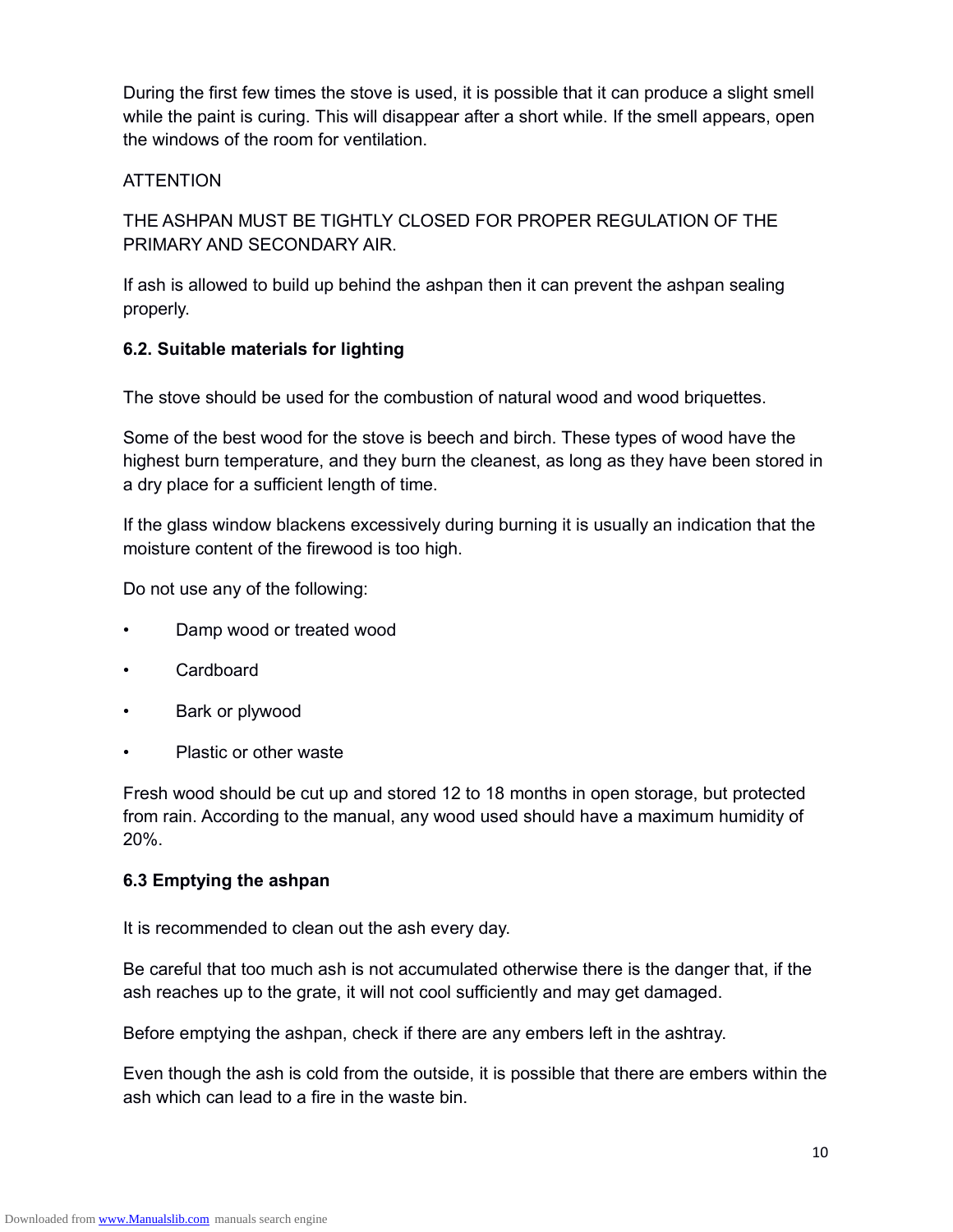During the first few times the stove is used, it is possible that it can produce a slight smell while the paint is curing. This will disappear after a short while. If the smell appears, open the windows of the room for ventilation.

### **ATTENTION**

THE ASHPAN MUST BE TIGHTLY CLOSED FOR PROPER REGULATION OF THE PRIMARY AND SECONDARY AIR.

If ash is allowed to build up behind the ashpan then it can prevent the ashpan sealing properly.

### **6.2. Suitable materials for lighting**

The stove should be used for the combustion of natural wood and wood briquettes.

Some of the best wood for the stove is beech and birch. These types of wood have the highest burn temperature, and they burn the cleanest, as long as they have been stored in a dry place for a sufficient length of time.

If the glass window blackens excessively during burning it is usually an indication that the moisture content of the firewood is too high.

Do not use any of the following:

- Damp wood or treated wood
- Cardboard
- Bark or plywood
- Plastic or other waste

Fresh wood should be cut up and stored 12 to 18 months in open storage, but protected from rain. According to the manual, any wood used should have a maximum humidity of 20%.

#### **6.3 Emptying the ashpan**

It is recommended to clean out the ash every day.

Be careful that too much ash is not accumulated otherwise there is the danger that, if the ash reaches up to the grate, it will not cool sufficiently and may get damaged.

Before emptying the ashpan, check if there are any embers left in the ashtray.

Even though the ash is cold from the outside, it is possible that there are embers within the ash which can lead to a fire in the waste bin.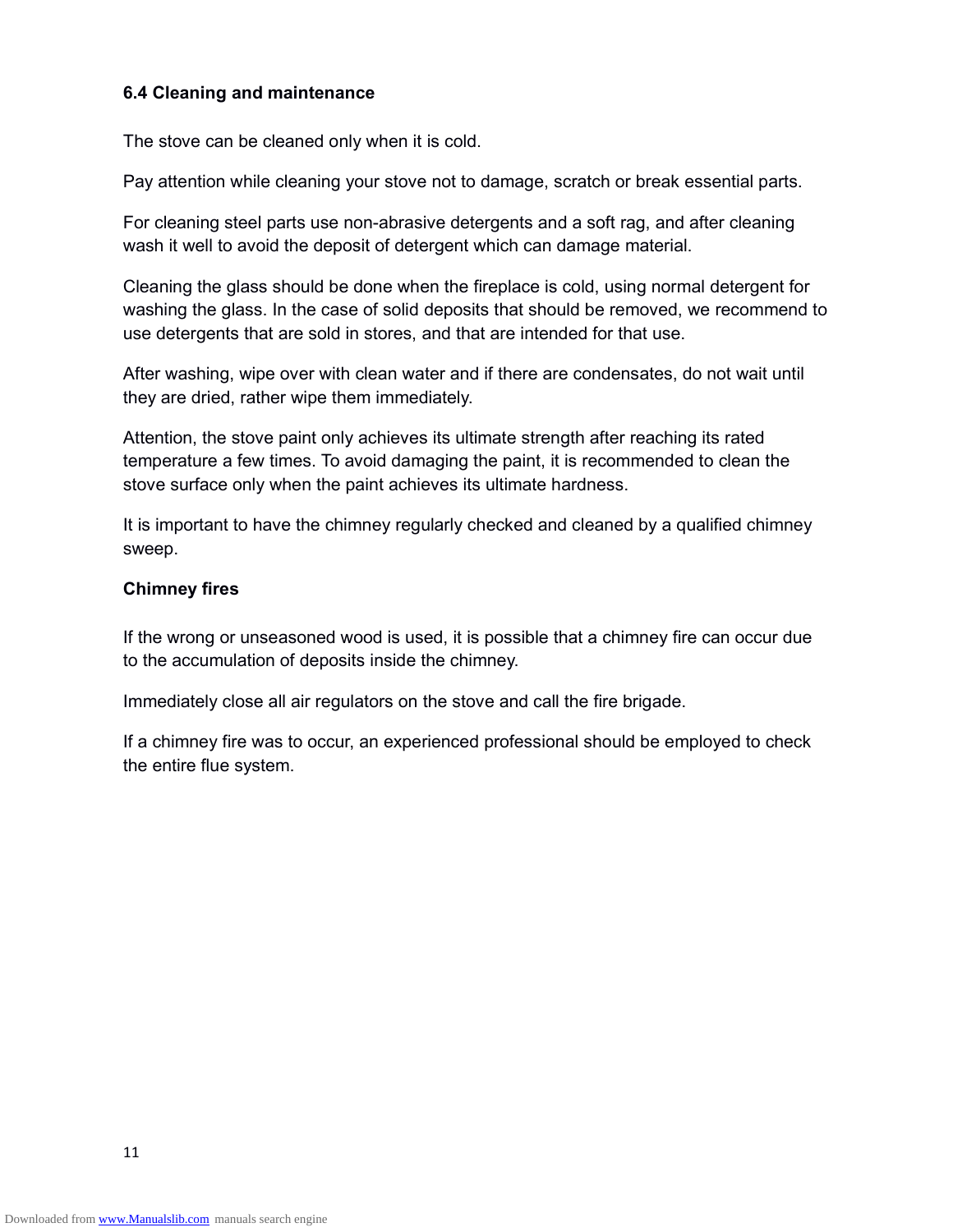#### **6.4 Cleaning and maintenance**

The stove can be cleaned only when it is cold.

Pay attention while cleaning your stove not to damage, scratch or break essential parts.

For cleaning steel parts use non-abrasive detergents and a soft rag, and after cleaning wash it well to avoid the deposit of detergent which can damage material.

Cleaning the glass should be done when the fireplace is cold, using normal detergent for washing the glass. In the case of solid deposits that should be removed, we recommend to use detergents that are sold in stores, and that are intended for that use.

After washing, wipe over with clean water and if there are condensates, do not wait until they are dried, rather wipe them immediately.

Attention, the stove paint only achieves its ultimate strength after reaching its rated temperature a few times. To avoid damaging the paint, it is recommended to clean the stove surface only when the paint achieves its ultimate hardness.

It is important to have the chimney regularly checked and cleaned by a qualified chimney sweep.

#### **Chimney fires**

If the wrong or unseasoned wood is used, it is possible that a chimney fire can occur due to the accumulation of deposits inside the chimney.

Immediately close all air regulators on the stove and call the fire brigade.

If a chimney fire was to occur, an experienced professional should be employed to check the entire flue system.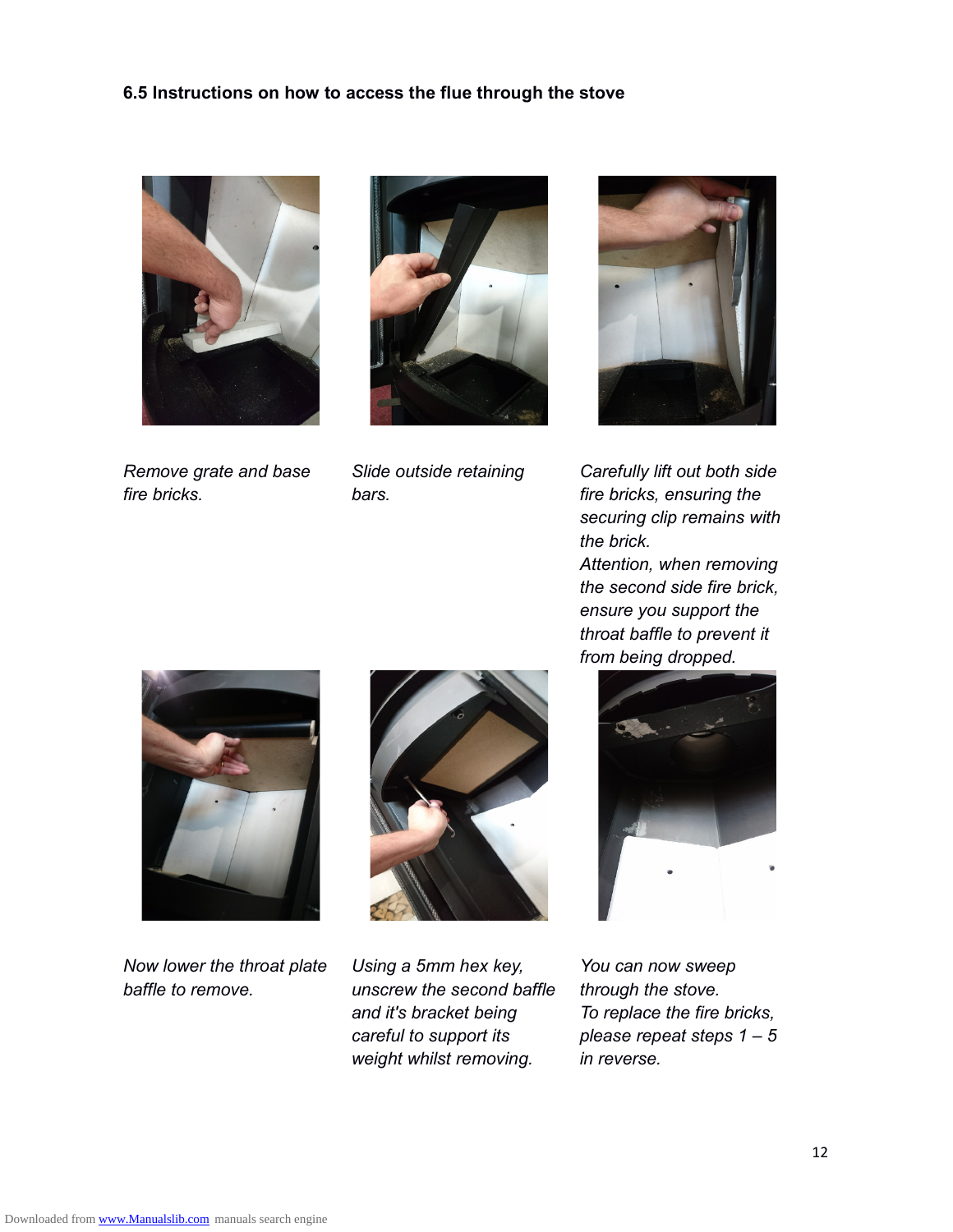#### **6.5 Instructions on how to access the flue through the stove**



*Remove grate and base fire bricks.*



*Slide outside retaining bars.*



*Carefully lift out both side fire bricks, ensuring the securing clip remains with the brick.*

*Attention, when removing the second side fire brick, ensure you support the throat baffle to prevent it from being dropped.*



*Now lower the throat plate baffle to remove.*



*Using a 5mm hex key, unscrew the second baffle and it's bracket being careful to support its weight whilst removing.*



*You can now sweep through the stove. To replace the fire bricks, please repeat steps 1 – 5 in reverse.*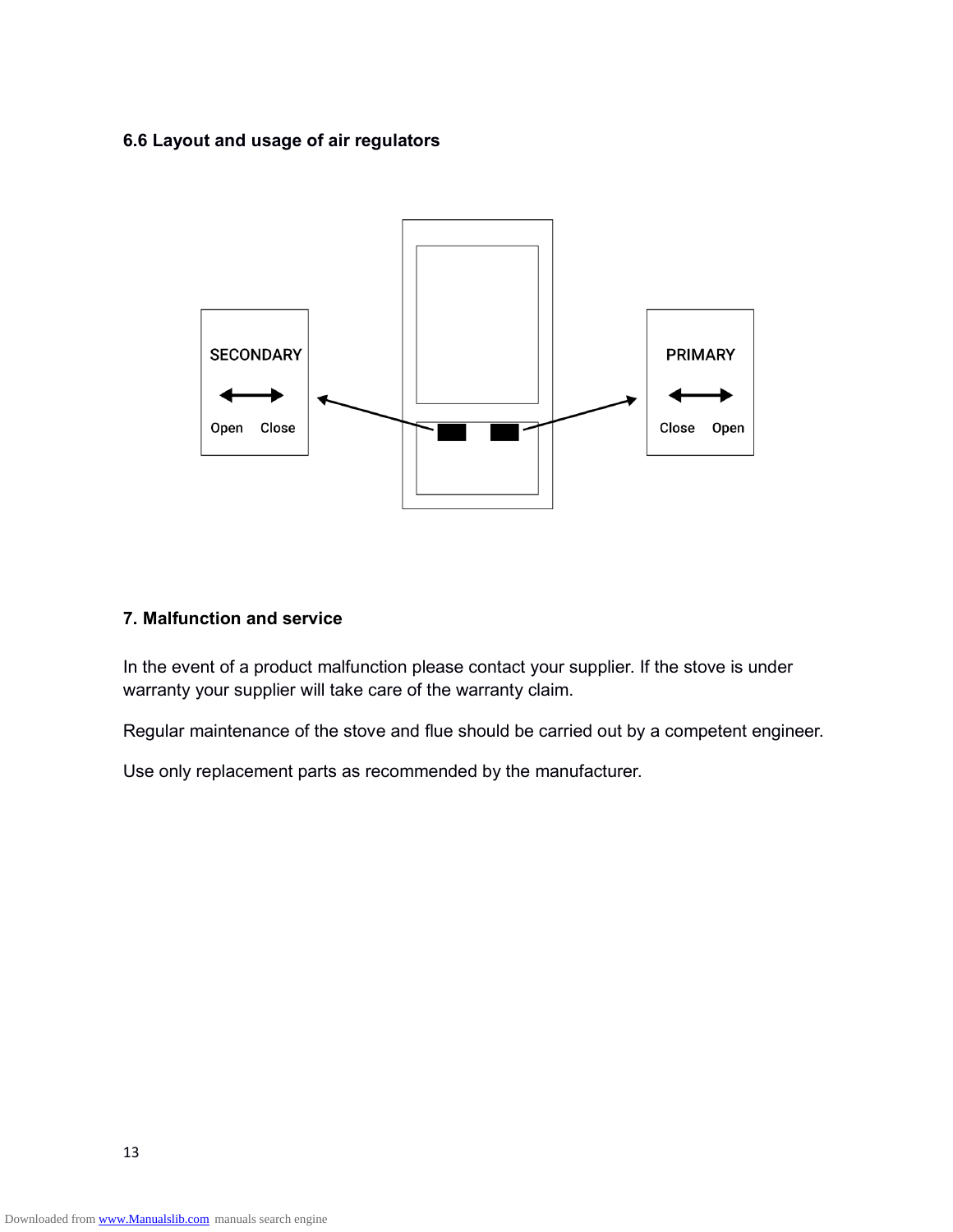### **6.6 Layout and usage of air regulators**



### **7. Malfunction and service**

In the event of a product malfunction please contact your supplier. If the stove is under warranty your supplier will take care of the warranty claim.

Regular maintenance of the stove and flue should be carried out by a competent engineer.

Use only replacement parts as recommended by the manufacturer.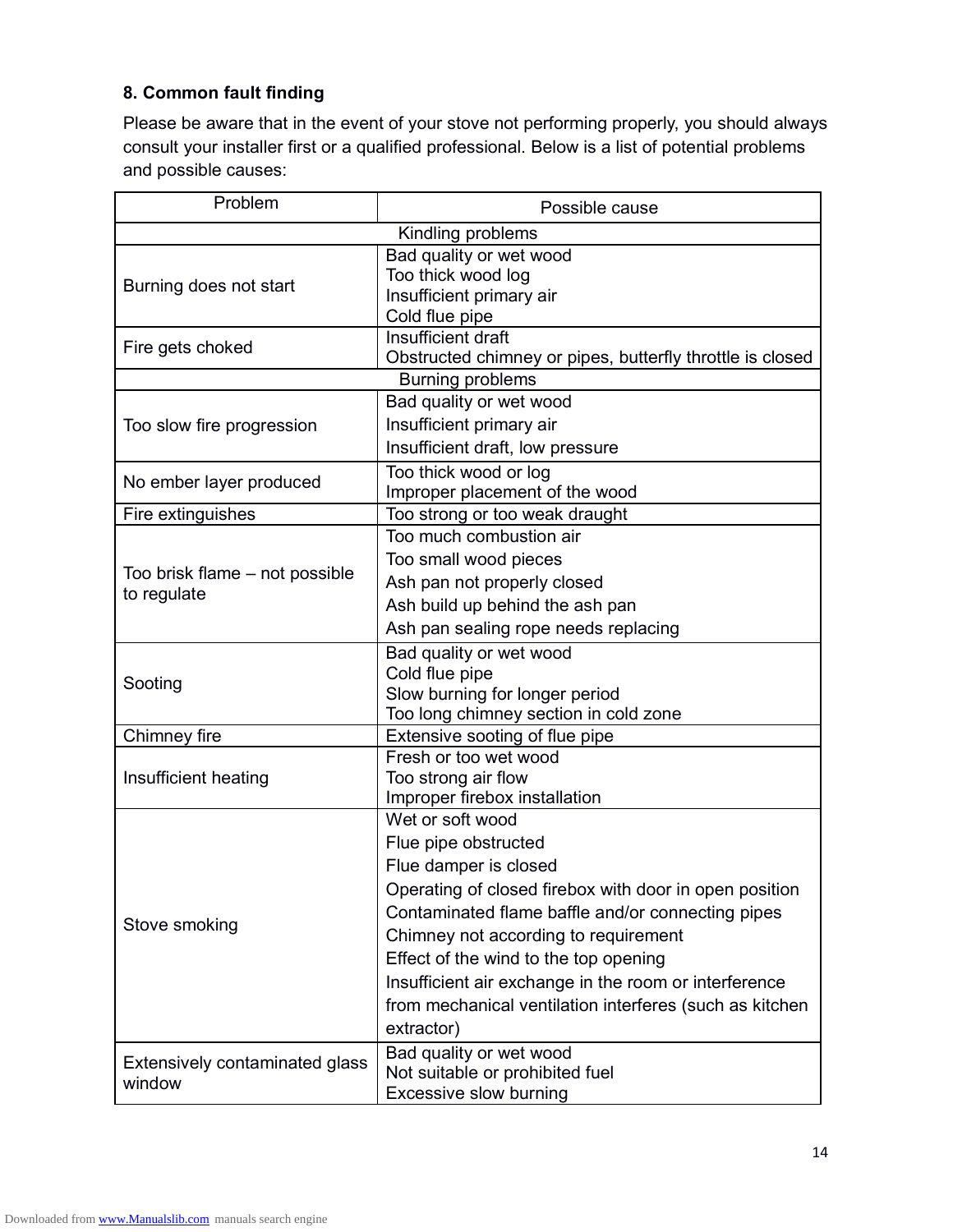# **8. Common fault finding**

Please be aware that in the event of your stove not performing properly, you should always consult your installer first or a qualified professional. Below is a list of potential problems and possible causes:

| Problem                        | Possible cause                                            |  |  |  |
|--------------------------------|-----------------------------------------------------------|--|--|--|
| Kindling problems              |                                                           |  |  |  |
|                                | Bad quality or wet wood                                   |  |  |  |
| Burning does not start         | Too thick wood log                                        |  |  |  |
|                                | Insufficient primary air                                  |  |  |  |
|                                | Cold flue pipe                                            |  |  |  |
| Fire gets choked               | Insufficient draft                                        |  |  |  |
|                                | Obstructed chimney or pipes, butterfly throttle is closed |  |  |  |
| <b>Burning problems</b>        |                                                           |  |  |  |
|                                | Bad quality or wet wood                                   |  |  |  |
| Too slow fire progression      | Insufficient primary air                                  |  |  |  |
|                                | Insufficient draft, low pressure                          |  |  |  |
| No ember layer produced        | Too thick wood or log                                     |  |  |  |
|                                | Improper placement of the wood                            |  |  |  |
| Fire extinguishes              | Too strong or too weak draught                            |  |  |  |
|                                | Too much combustion air                                   |  |  |  |
| Too brisk flame - not possible | Too small wood pieces                                     |  |  |  |
| to regulate                    | Ash pan not properly closed                               |  |  |  |
|                                | Ash build up behind the ash pan                           |  |  |  |
|                                | Ash pan sealing rope needs replacing                      |  |  |  |
|                                | Bad quality or wet wood                                   |  |  |  |
| Sooting                        | Cold flue pipe                                            |  |  |  |
|                                | Slow burning for longer period                            |  |  |  |
|                                | Too long chimney section in cold zone                     |  |  |  |
| Chimney fire                   | Extensive sooting of flue pipe                            |  |  |  |
|                                | Fresh or too wet wood                                     |  |  |  |
| Insufficient heating           | Too strong air flow<br>Improper firebox installation      |  |  |  |
|                                | Wet or soft wood                                          |  |  |  |
|                                | Flue pipe obstructed                                      |  |  |  |
|                                |                                                           |  |  |  |
|                                | Flue damper is closed                                     |  |  |  |
|                                | Operating of closed firebox with door in open position    |  |  |  |
| Stove smoking                  | Contaminated flame baffle and/or connecting pipes         |  |  |  |
|                                | Chimney not according to requirement                      |  |  |  |
|                                | Effect of the wind to the top opening                     |  |  |  |
|                                | Insufficient air exchange in the room or interference     |  |  |  |
|                                | from mechanical ventilation interferes (such as kitchen   |  |  |  |
|                                | extractor)                                                |  |  |  |
| Extensively contaminated glass | Bad quality or wet wood                                   |  |  |  |
| window                         | Not suitable or prohibited fuel                           |  |  |  |
|                                | Excessive slow burning                                    |  |  |  |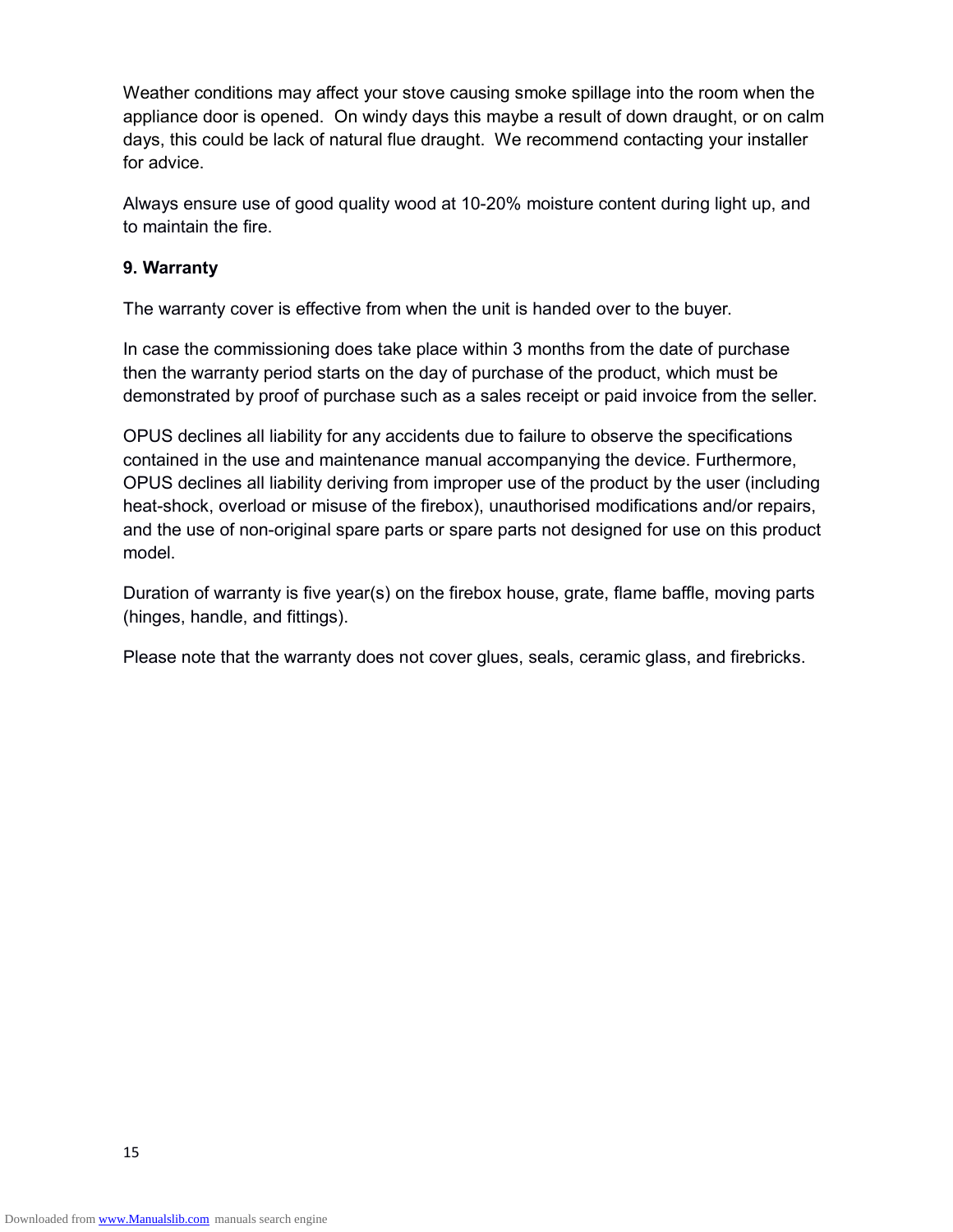Weather conditions may affect your stove causing smoke spillage into the room when the appliance door is opened. On windy days this maybe a result of down draught, or on calm days, this could be lack of natural flue draught. We recommend contacting your installer for advice.

Always ensure use of good quality wood at 10-20% moisture content during light up, and to maintain the fire.

### **9. Warranty**

The warranty cover is effective from when the unit is handed over to the buyer.

In case the commissioning does take place within 3 months from the date of purchase then the warranty period starts on the day of purchase of the product, which must be demonstrated by proof of purchase such as a sales receipt or paid invoice from the seller.

OPUS declines all liability for any accidents due to failure to observe the specifications contained in the use and maintenance manual accompanying the device. Furthermore, OPUS declines all liability deriving from improper use of the product by the user (including heat-shock, overload or misuse of the firebox), unauthorised modifications and/or repairs, and the use of non-original spare parts or spare parts not designed for use on this product model.

Duration of warranty is five year(s) on the firebox house, grate, flame baffle, moving parts (hinges, handle, and fittings).

Please note that the warranty does not cover glues, seals, ceramic glass, and firebricks.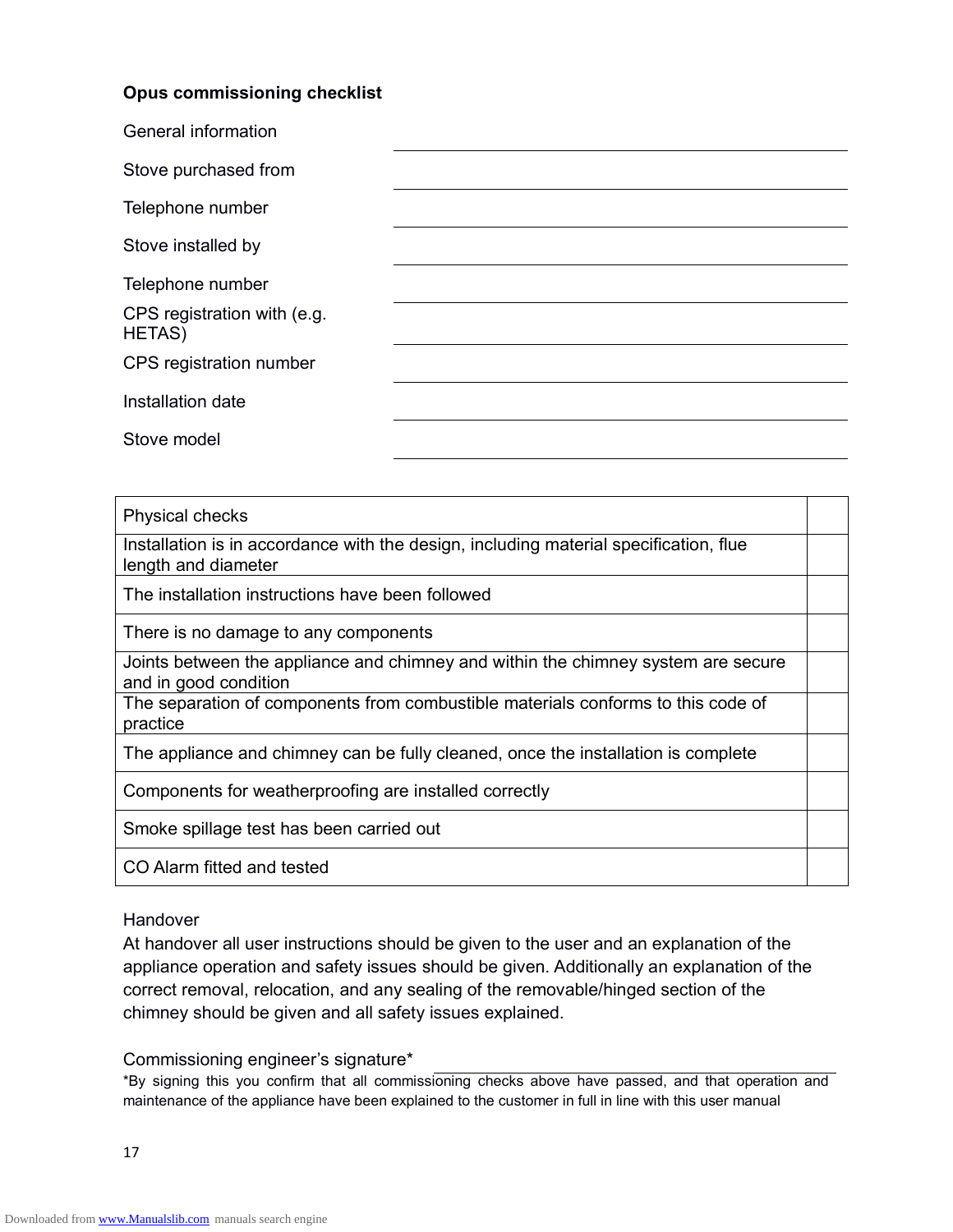## **Opus commissioning checklist**

| General information                          |  |
|----------------------------------------------|--|
| Stove purchased from                         |  |
| Telephone number                             |  |
| Stove installed by                           |  |
| Telephone number                             |  |
| CPS registration with (e.g.<br><b>HETAS)</b> |  |
| CPS registration number                      |  |
| Installation date                            |  |
| Stove model                                  |  |

#### Physical checks

Installation is in accordance with the design, including material specification, flue length and diameter

The installation instructions have been followed

There is no damage to any components

Joints between the appliance and chimney and within the chimney system are secure and in good condition

The separation of components from combustible materials conforms to this code of practice

The appliance and chimney can be fully cleaned, once the installation is complete

Components for weatherproofing are installed correctly

Smoke spillage test has been carried out

CO Alarm fitted and tested

#### Handover

At handover all user instructions should be given to the user and an explanation of the appliance operation and safety issues should be given. Additionally an explanation of the correct removal, relocation, and any sealing of the removable/hinged section of the chimney should be given and all safety issues explained.

#### Commissioning engineer's signature\*

\*By signing this you confirm that all commissioning checks above have passed, and that operation and maintenance of the appliance have been explained to the customer in full in line with this user manual